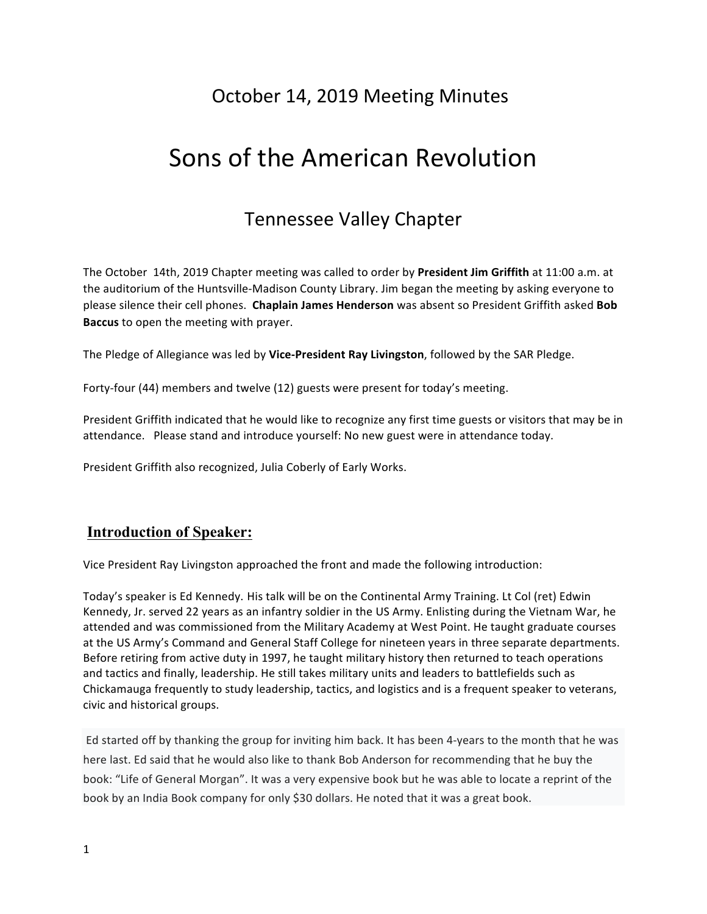# October 14, 2019 Meeting Minutes

# Sons of the American Revolution

## Tennessee Valley Chapter

The October 14th, 2019 Chapter meeting was called to order by President Jim Griffith at 11:00 a.m. at the auditorium of the Huntsville-Madison County Library. Jim began the meeting by asking everyone to please silence their cell phones. Chaplain James Henderson was absent so President Griffith asked Bob **Baccus** to open the meeting with prayer.

The Pledge of Allegiance was led by Vice-President Ray Livingston, followed by the SAR Pledge.

Forty-four (44) members and twelve (12) guests were present for today's meeting.

President Griffith indicated that he would like to recognize any first time guests or visitors that may be in attendance. Please stand and introduce yourself: No new guest were in attendance today.

President Griffith also recognized, Julia Coberly of Early Works.

#### **Introduction of Speaker:**

Vice President Ray Livingston approached the front and made the following introduction:

Today's speaker is Ed Kennedy. His talk will be on the Continental Army Training. Lt Col (ret) Edwin Kennedy, Jr. served 22 years as an infantry soldier in the US Army. Enlisting during the Vietnam War, he attended and was commissioned from the Military Academy at West Point. He taught graduate courses at the US Army's Command and General Staff College for nineteen years in three separate departments. Before retiring from active duty in 1997, he taught military history then returned to teach operations and tactics and finally, leadership. He still takes military units and leaders to battlefields such as Chickamauga frequently to study leadership, tactics, and logistics and is a frequent speaker to veterans, civic and historical groups.

Ed started off by thanking the group for inviting him back. It has been 4-years to the month that he was here last. Ed said that he would also like to thank Bob Anderson for recommending that he buy the book: "Life of General Morgan". It was a very expensive book but he was able to locate a reprint of the book by an India Book company for only \$30 dollars. He noted that it was a great book.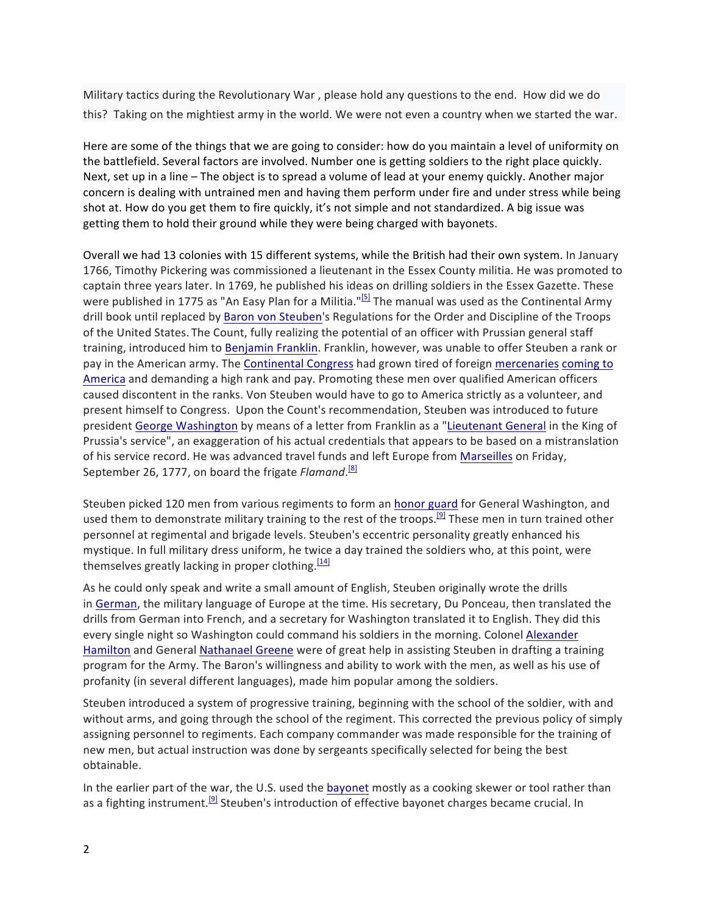Military tactics during the Revolutionary War, please hold any questions to the end. How did we do this? Taking on the mightiest army in the world. We were not even a country when we started the war.

Here are some of the things that we are going to consider: how do you maintain a level of uniformity on the battlefield. Several factors are involved. Number one is getting soldiers to the right place quickly. Next, set up in a line – The object is to spread a volume of lead at your enemy quickly. Another major concern is dealing with untrained men and having them perform under fire and under stress while being shot at. How do you get them to fire quickly, it's not simple and not standardized. A big issue was getting them to hold their ground while they were being charged with bayonets.

Overall we had 13 colonies with 15 different systems, while the British had their own system. In January 1766, Timothy Pickering was commissioned a lieutenant in the Essex County militia. He was promoted to captain three years later. In 1769, he published his ideas on drilling soldiers in the Essex Gazette. These were published in 1775 as "An Easy Plan for a Militia."<sup>[5]</sup> The manual was used as the Continental Army drill book until replaced by Baron von Steuben's Regulations for the Order and Discipline of the Troops of the United States. The Count, fully realizing the potential of an officer with Prussian general staff training, introduced him to Benjamin Franklin. Franklin, however, was unable to offer Steuben a rank or pay in the American army. The Continental Congress had grown tired of foreign mercenaries coming to America and demanding a high rank and pay. Promoting these men over qualified American officers caused discontent in the ranks. Von Steuben would have to go to America strictly as a volunteer, and present himself to Congress. Upon the Count's recommendation, Steuben was introduced to future president George Washington by means of a letter from Franklin as a "Lieutenant General in the King of Prussia's service", an exaggeration of his actual credentials that appears to be based on a mistranslation of his service record. He was advanced travel funds and left Europe from Marseilles on Friday, September 26, 1777, on board the frigate Flamand.<sup>[8]</sup>

Steuben picked 120 men from various regiments to form an honor guard for General Washington, and used them to demonstrate military training to the rest of the troops.<sup>[9]</sup> These men in turn trained other personnel at regimental and brigade levels. Steuben's eccentric personality greatly enhanced his mystique. In full military dress uniform, he twice a day trained the soldiers who, at this point, were themselves greatly lacking in proper clothing.<sup>[14]</sup>

As he could only speak and write a small amount of English, Steuben originally wrote the drills in German, the military language of Europe at the time. His secretary, Du Ponceau, then translated the drills from German into French, and a secretary for Washington translated it to English. They did this every single night so Washington could command his soldiers in the morning. Colonel Alexander Hamilton and General Nathanael Greene were of great help in assisting Steuben in drafting a training program for the Army. The Baron's willingness and ability to work with the men, as well as his use of profanity (in several different languages), made him popular among the soldiers.

Steuben introduced a system of progressive training, beginning with the school of the soldier, with and without arms, and going through the school of the regiment. This corrected the previous policy of simply assigning personnel to regiments. Each company commander was made responsible for the training of new men, but actual instruction was done by sergeants specifically selected for being the best obtainable.

In the earlier part of the war, the U.S. used the bayonet mostly as a cooking skewer or tool rather than as a fighting instrument.<sup>[9]</sup> Steuben's introduction of effective bayonet charges became crucial. In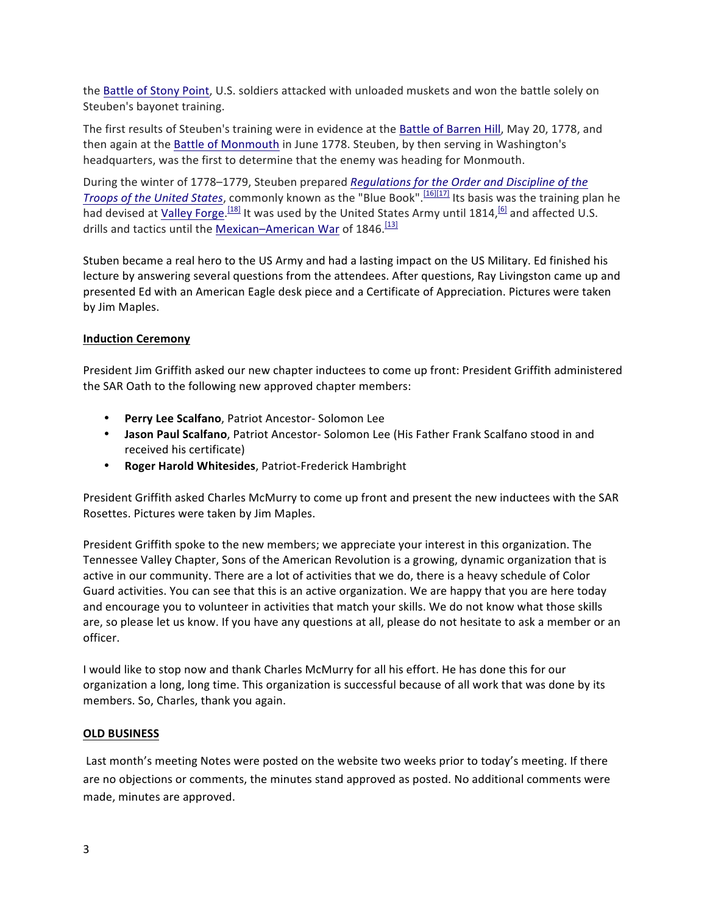the Battle of Stony Point, U.S. soldiers attacked with unloaded muskets and won the battle solely on Steuben's bayonet training.

The first results of Steuben's training were in evidence at the Battle of Barren Hill, May 20, 1778, and then again at the Battle of Monmouth in June 1778. Steuben, by then serving in Washington's headquarters, was the first to determine that the enemy was heading for Monmouth.

During the winter of 1778–1779, Steuben prepared *Regulations for the Order and Discipline of the Troops of the United States*, commonly known as the "Blue Book".<sup>[16][17]</sup> Its basis was the training plan he had devised at <u>Valley Forge.<sup>[18]</sup></u> It was used by the United States Army until 1814,<sup>[6]</sup> and affected U.S. drills and tactics until the Mexican–American War of 1846.<sup>[13]</sup>

Stuben became a real hero to the US Army and had a lasting impact on the US Military. Ed finished his lecture by answering several questions from the attendees. After questions, Ray Livingston came up and presented Ed with an American Eagle desk piece and a Certificate of Appreciation. Pictures were taken by Jim Maples.

#### **Induction Ceremony**

President Jim Griffith asked our new chapter inductees to come up front: President Griffith administered the SAR Oath to the following new approved chapter members:

- **Perry Lee Scalfano**, Patriot Ancestor- Solomon Lee
- Jason Paul Scalfano, Patriot Ancestor- Solomon Lee (His Father Frank Scalfano stood in and received his certificate)
- **Roger Harold Whitesides**, Patriot-Frederick Hambright

President Griffith asked Charles McMurry to come up front and present the new inductees with the SAR Rosettes. Pictures were taken by Jim Maples.

President Griffith spoke to the new members; we appreciate your interest in this organization. The Tennessee Valley Chapter, Sons of the American Revolution is a growing, dynamic organization that is active in our community. There are a lot of activities that we do, there is a heavy schedule of Color Guard activities. You can see that this is an active organization. We are happy that you are here today and encourage you to volunteer in activities that match your skills. We do not know what those skills are, so please let us know. If you have any questions at all, please do not hesitate to ask a member or an officer.

I would like to stop now and thank Charles McMurry for all his effort. He has done this for our organization a long, long time. This organization is successful because of all work that was done by its members. So, Charles, thank you again.

#### **OLD BUSINESS**

Last month's meeting Notes were posted on the website two weeks prior to today's meeting. If there are no objections or comments, the minutes stand approved as posted. No additional comments were made, minutes are approved.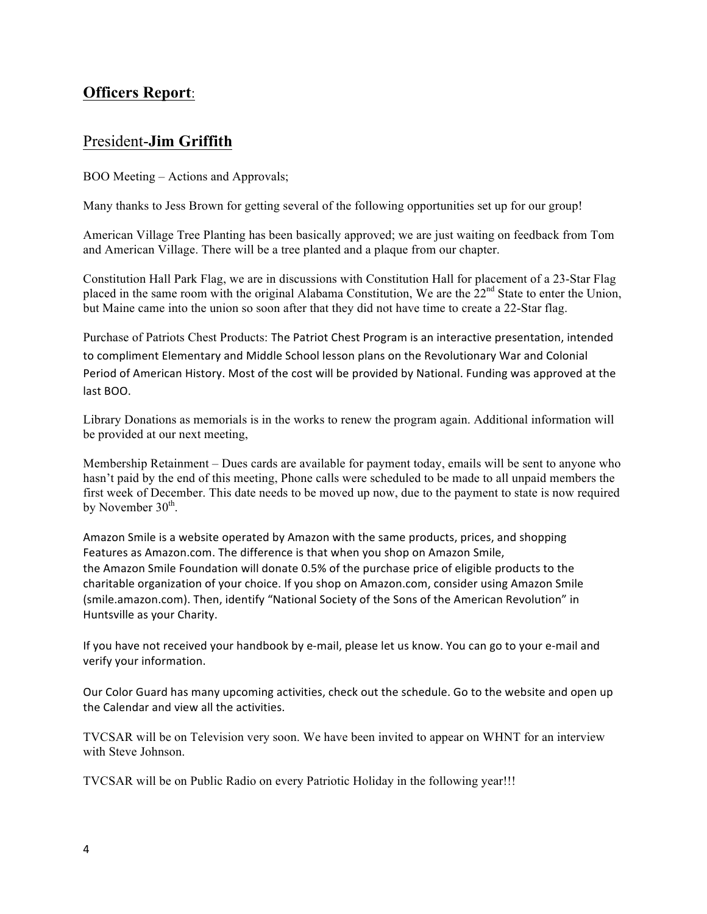### **Officers Report**:

### President-**Jim Griffith**

BOO Meeting – Actions and Approvals;

Many thanks to Jess Brown for getting several of the following opportunities set up for our group!

American Village Tree Planting has been basically approved; we are just waiting on feedback from Tom and American Village. There will be a tree planted and a plaque from our chapter.

Constitution Hall Park Flag, we are in discussions with Constitution Hall for placement of a 23-Star Flag placed in the same room with the original Alabama Constitution, We are the 22<sup>nd</sup> State to enter the Union, but Maine came into the union so soon after that they did not have time to create a 22-Star flag.

Purchase of Patriots Chest Products: The Patriot Chest Program is an interactive presentation, intended to compliment Elementary and Middle School lesson plans on the Revolutionary War and Colonial Period of American History. Most of the cost will be provided by National. Funding was approved at the last BOO.

Library Donations as memorials is in the works to renew the program again. Additional information will be provided at our next meeting,

Membership Retainment – Dues cards are available for payment today, emails will be sent to anyone who hasn't paid by the end of this meeting, Phone calls were scheduled to be made to all unpaid members the first week of December. This date needs to be moved up now, due to the payment to state is now required by November  $30<sup>th</sup>$ .

Amazon Smile is a website operated by Amazon with the same products, prices, and shopping Features as Amazon.com. The difference is that when you shop on Amazon Smile, the Amazon Smile Foundation will donate 0.5% of the purchase price of eligible products to the charitable organization of your choice. If you shop on Amazon.com, consider using Amazon Smile (smile.amazon.com). Then, identify "National Society of the Sons of the American Revolution" in Huntsville as your Charity.

If you have not received your handbook by e-mail, please let us know. You can go to your e-mail and verify your information.

Our Color Guard has many upcoming activities, check out the schedule. Go to the website and open up the Calendar and view all the activities.

TVCSAR will be on Television very soon. We have been invited to appear on WHNT for an interview with Steve Johnson.

TVCSAR will be on Public Radio on every Patriotic Holiday in the following year!!!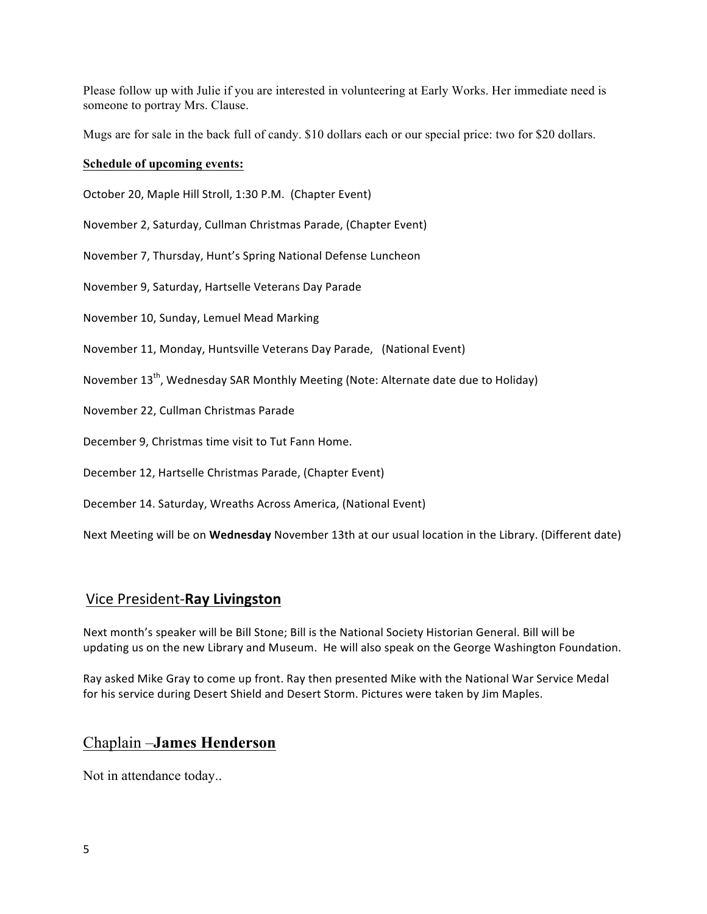Please follow up with Julie if you are interested in volunteering at Early Works. Her immediate need is someone to portray Mrs. Clause.

Mugs are for sale in the back full of candy. \$10 dollars each or our special price: two for \$20 dollars.

#### **Schedule of upcoming events:**

October 20, Maple Hill Stroll, 1:30 P.M. (Chapter Event)

November 2, Saturday, Cullman Christmas Parade, (Chapter Event)

November 7, Thursday, Hunt's Spring National Defense Luncheon

November 9, Saturday, Hartselle Veterans Day Parade

November 10, Sunday, Lemuel Mead Marking

November 11, Monday, Huntsville Veterans Day Parade, (National Event)

November 13<sup>th</sup>, Wednesday SAR Monthly Meeting (Note: Alternate date due to Holiday)

November 22, Cullman Christmas Parade

December 9, Christmas time visit to Tut Fann Home.

December 12, Hartselle Christmas Parade, (Chapter Event)

December 14. Saturday, Wreaths Across America, (National Event)

Next Meeting will be on Wednesday November 13th at our usual location in the Library. (Different date)

#### Vice President-**Ray Livingston**

Next month's speaker will be Bill Stone; Bill is the National Society Historian General. Bill will be updating us on the new Library and Museum. He will also speak on the George Washington Foundation.

Ray asked Mike Gray to come up front. Ray then presented Mike with the National War Service Medal for his service during Desert Shield and Desert Storm. Pictures were taken by Jim Maples.

#### Chaplain –**James Henderson**

Not in attendance today..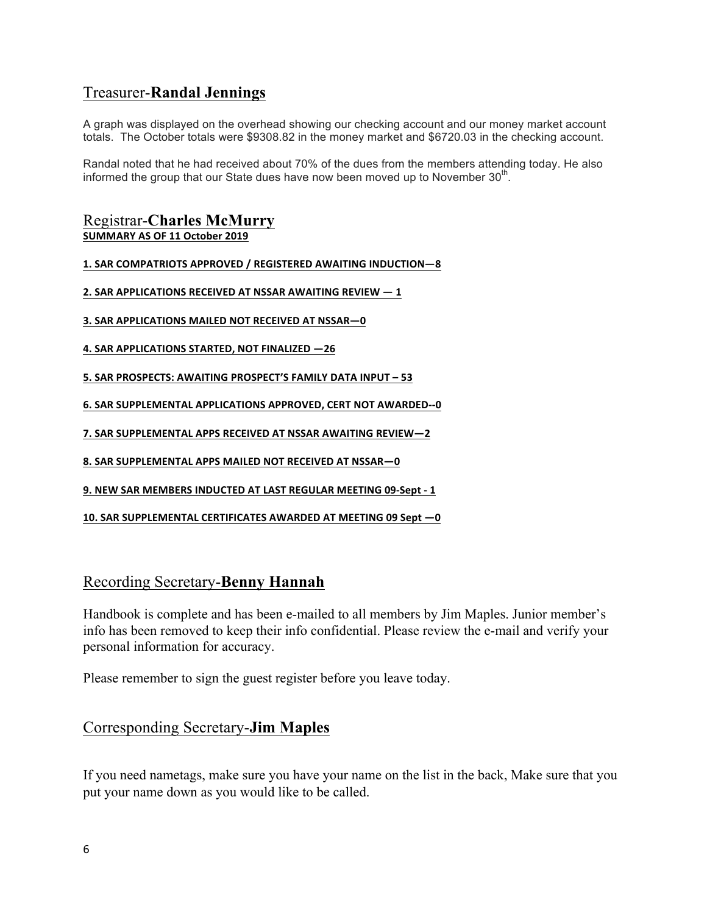### Treasurer-**Randal Jennings**

A graph was displayed on the overhead showing our checking account and our money market account totals. The October totals were \$9308.82 in the money market and \$6720.03 in the checking account.

Randal noted that he had received about 70% of the dues from the members attending today. He also informed the group that our State dues have now been moved up to November  $30<sup>th</sup>$ .

#### Registrar-**Charles McMurry SUMMARY AS OF 11 October 2019**

**1. SAR COMPATRIOTS APPROVED / REGISTERED AWAITING INDUCTION—8**

**2. SAR APPLICATIONS RECEIVED AT NSSAR AWAITING REVIEW**  $-1$ 

**3. SAR APPLICATIONS MAILED NOT RECEIVED AT NSSAR-0** 

**4. SAR APPLICATIONS STARTED, NOT FINALIZED -26** 

**5. SAR PROSPECTS: AWAITING PROSPECT'S FAMILY DATA INPUT – 53**

**6. SAR SUPPLEMENTAL APPLICATIONS APPROVED, CERT NOT AWARDED--0** 

**7. SAR SUPPLEMENTAL APPS RECEIVED AT NSSAR AWAITING REVIEW-2** 

**8. SAR SUPPLEMENTAL APPS MAILED NOT RECEIVED AT NSSAR—0**

**9. NEW SAR MEMBERS INDUCTED AT LAST REGULAR MEETING 09-Sept - 1**

**10. SAR SUPPLEMENTAL CERTIFICATES AWARDED AT MEETING 09 Sept —0**

### Recording Secretary-**Benny Hannah**

Handbook is complete and has been e-mailed to all members by Jim Maples. Junior member's info has been removed to keep their info confidential. Please review the e-mail and verify your personal information for accuracy.

Please remember to sign the guest register before you leave today.

### Corresponding Secretary-**Jim Maples**

If you need nametags, make sure you have your name on the list in the back, Make sure that you put your name down as you would like to be called.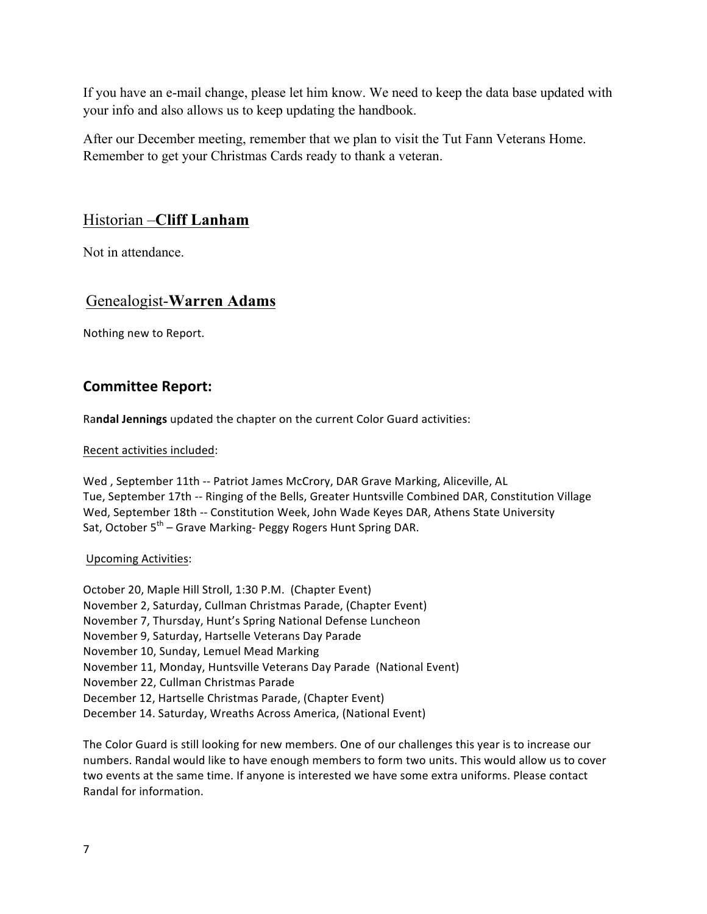If you have an e-mail change, please let him know. We need to keep the data base updated with your info and also allows us to keep updating the handbook.

After our December meeting, remember that we plan to visit the Tut Fann Veterans Home. Remember to get your Christmas Cards ready to thank a veteran.

### Historian –**Cliff Lanham**

Not in attendance.

### Genealogist-**Warren Adams**

Nothing new to Report.

### **Committee Report:**

Randal Jennings updated the chapter on the current Color Guard activities:

Recent activities included:

Wed, September 11th -- Patriot James McCrory, DAR Grave Marking, Aliceville, AL Tue, September 17th -- Ringing of the Bells, Greater Huntsville Combined DAR, Constitution Village Wed, September 18th -- Constitution Week, John Wade Keyes DAR, Athens State University Sat, October  $5^{th}$  – Grave Marking- Peggy Rogers Hunt Spring DAR.

#### Upcoming Activities:

October 20, Maple Hill Stroll, 1:30 P.M. (Chapter Event) November 2, Saturday, Cullman Christmas Parade, (Chapter Event) November 7, Thursday, Hunt's Spring National Defense Luncheon November 9, Saturday, Hartselle Veterans Day Parade November 10, Sunday, Lemuel Mead Marking November 11, Monday, Huntsville Veterans Day Parade (National Event) November 22, Cullman Christmas Parade December 12, Hartselle Christmas Parade, (Chapter Event) December 14. Saturday, Wreaths Across America, (National Event)

The Color Guard is still looking for new members. One of our challenges this year is to increase our numbers. Randal would like to have enough members to form two units. This would allow us to cover two events at the same time. If anyone is interested we have some extra uniforms. Please contact Randal for information.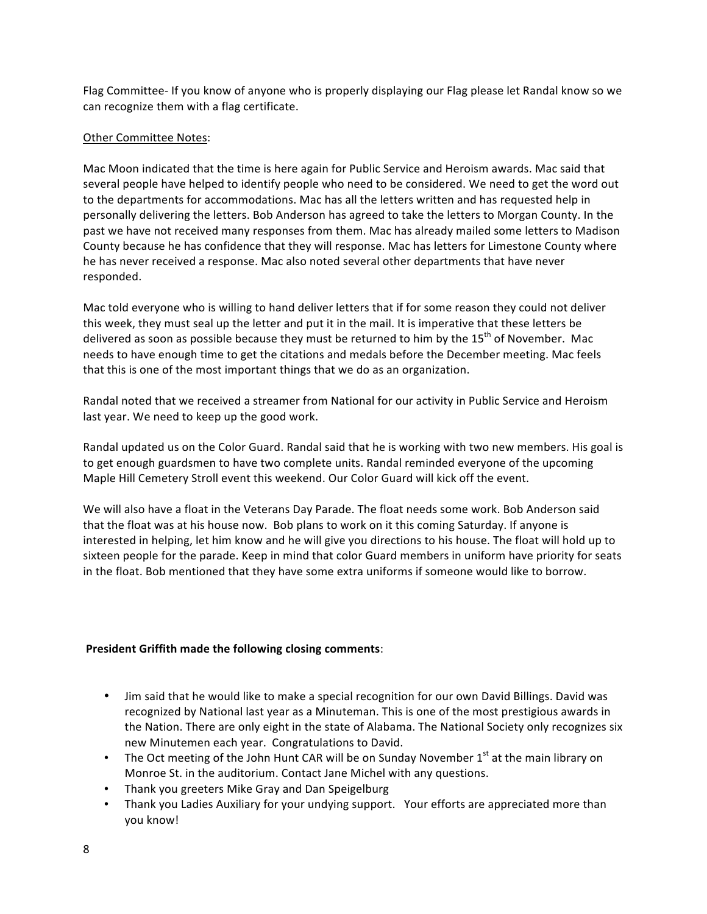Flag Committee- If you know of anyone who is properly displaying our Flag please let Randal know so we can recognize them with a flag certificate.

#### Other Committee Notes:

Mac Moon indicated that the time is here again for Public Service and Heroism awards. Mac said that several people have helped to identify people who need to be considered. We need to get the word out to the departments for accommodations. Mac has all the letters written and has requested help in personally delivering the letters. Bob Anderson has agreed to take the letters to Morgan County. In the past we have not received many responses from them. Mac has already mailed some letters to Madison County because he has confidence that they will response. Mac has letters for Limestone County where he has never received a response. Mac also noted several other departments that have never responded. 

Mac told everyone who is willing to hand deliver letters that if for some reason they could not deliver this week, they must seal up the letter and put it in the mail. It is imperative that these letters be delivered as soon as possible because they must be returned to him by the 15<sup>th</sup> of November. Mac needs to have enough time to get the citations and medals before the December meeting. Mac feels that this is one of the most important things that we do as an organization.

Randal noted that we received a streamer from National for our activity in Public Service and Heroism last year. We need to keep up the good work.

Randal updated us on the Color Guard. Randal said that he is working with two new members. His goal is to get enough guardsmen to have two complete units. Randal reminded everyone of the upcoming Maple Hill Cemetery Stroll event this weekend. Our Color Guard will kick off the event.

We will also have a float in the Veterans Day Parade. The float needs some work. Bob Anderson said that the float was at his house now. Bob plans to work on it this coming Saturday. If anyone is interested in helping, let him know and he will give you directions to his house. The float will hold up to sixteen people for the parade. Keep in mind that color Guard members in uniform have priority for seats in the float. Bob mentioned that they have some extra uniforms if someone would like to borrow.

#### **President Griffith made the following closing comments:**

- Jim said that he would like to make a special recognition for our own David Billings. David was recognized by National last year as a Minuteman. This is one of the most prestigious awards in the Nation. There are only eight in the state of Alabama. The National Society only recognizes six new Minutemen each year. Congratulations to David.
- The Oct meeting of the John Hunt CAR will be on Sunday November  $1<sup>st</sup>$  at the main library on Monroe St. in the auditorium. Contact Jane Michel with any questions.
- Thank you greeters Mike Gray and Dan Speigelburg
- Thank you Ladies Auxiliary for your undying support. Your efforts are appreciated more than you know!